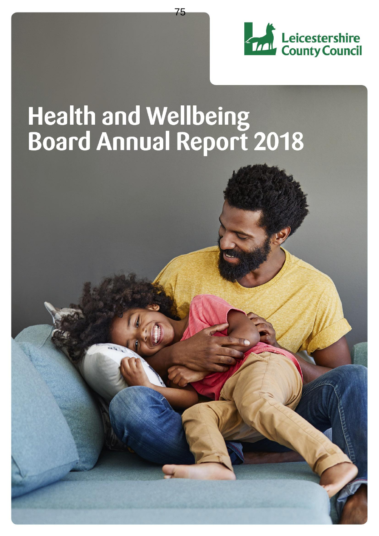

# Health and Wellbeing<br>Board Annual Report 2018

75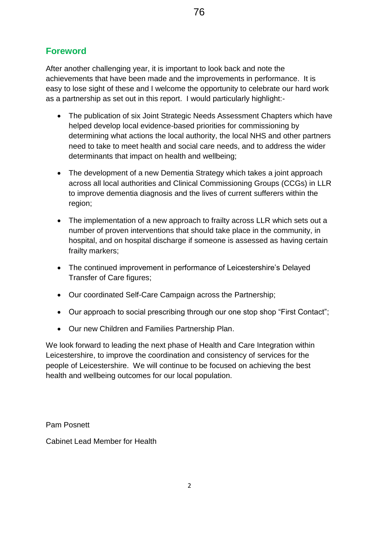# **Foreword**

After another challenging year, it is important to look back and note the achievements that have been made and the improvements in performance. It is easy to lose sight of these and I welcome the opportunity to celebrate our hard work as a partnership as set out in this report. I would particularly highlight:-

- The publication of six Joint Strategic Needs Assessment Chapters which have helped develop local evidence-based priorities for commissioning by determining what actions the local authority, the local NHS and other partners need to take to meet health and social care needs, and to address the wider determinants that impact on health and wellbeing;
- The development of a new Dementia Strategy which takes a joint approach across all local authorities and Clinical Commissioning Groups (CCGs) in LLR to improve dementia diagnosis and the lives of current sufferers within the region;
- The implementation of a new approach to frailty across LLR which sets out a number of proven interventions that should take place in the community, in hospital, and on hospital discharge if someone is assessed as having certain frailty markers;
- The continued improvement in performance of Leicestershire's Delayed Transfer of Care figures;
- Our coordinated Self-Care Campaign across the Partnership;
- Our approach to social prescribing through our one stop shop "First Contact";
- Our new Children and Families Partnership Plan.

We look forward to leading the next phase of Health and Care Integration within Leicestershire, to improve the coordination and consistency of services for the people of Leicestershire. We will continue to be focused on achieving the best health and wellbeing outcomes for our local population.

Pam Posnett

Cabinet Lead Member for Health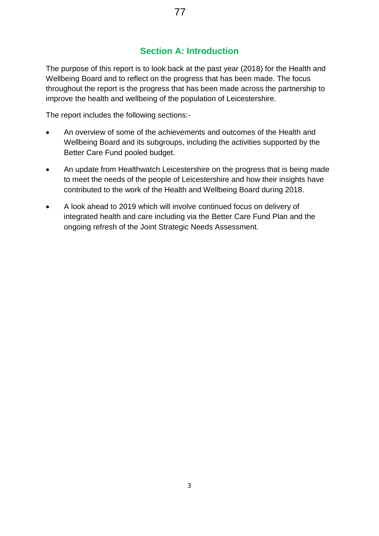# **Section A: Introduction**

The purpose of this report is to look back at the past year (2018) for the Health and Wellbeing Board and to reflect on the progress that has been made. The focus throughout the report is the progress that has been made across the partnership to improve the health and wellbeing of the population of Leicestershire.

The report includes the following sections:-

- An overview of some of the achievements and outcomes of the Health and Wellbeing Board and its subgroups, including the activities supported by the Better Care Fund pooled budget.
- An update from Healthwatch Leicestershire on the progress that is being made to meet the needs of the people of Leicestershire and how their insights have contributed to the work of the Health and Wellbeing Board during 2018.
- A look ahead to 2019 which will involve continued focus on delivery of integrated health and care including via the Better Care Fund Plan and the ongoing refresh of the Joint Strategic Needs Assessment.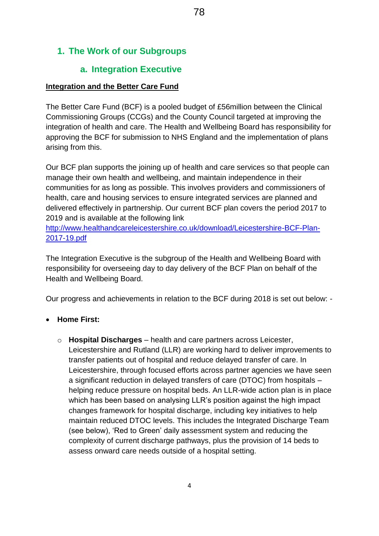# **1. The Work of our Subgroups**

#### **a. Integration Executive**

#### **Integration and the Better Care Fund**

The Better Care Fund (BCF) is a pooled budget of £56million between the Clinical Commissioning Groups (CCGs) and the County Council targeted at improving the integration of health and care. The Health and Wellbeing Board has responsibility for approving the BCF for submission to NHS England and the implementation of plans arising from this.

Our BCF plan supports the joining up of health and care services so that people can manage their own health and wellbeing, and maintain independence in their communities for as long as possible. This involves providers and commissioners of health, care and housing services to ensure integrated services are planned and delivered effectively in partnership. Our current BCF plan covers the period 2017 to 2019 and is available at the following link

[http://www.healthandcareleicestershire.co.uk/download/Leicestershire-BCF-Plan-](http://www.healthandcareleicestershire.co.uk/download/Leicestershire-BCF-Plan-2017-19.pdf)[2017-19.pdf](http://www.healthandcareleicestershire.co.uk/download/Leicestershire-BCF-Plan-2017-19.pdf)

The Integration Executive is the subgroup of the Health and Wellbeing Board with responsibility for overseeing day to day delivery of the BCF Plan on behalf of the Health and Wellbeing Board.

Our progress and achievements in relation to the BCF during 2018 is set out below: -

#### **Home First:**

o **Hospital Discharges** – health and care partners across Leicester, Leicestershire and Rutland (LLR) are working hard to deliver improvements to transfer patients out of hospital and reduce delayed transfer of care. In Leicestershire, through focused efforts across partner agencies we have seen a significant reduction in delayed transfers of care (DTOC) from hospitals – helping reduce pressure on hospital beds. An LLR-wide action plan is in place which has been based on analysing LLR's position against the high impact changes framework for hospital discharge, including key initiatives to help maintain reduced DTOC levels. This includes the Integrated Discharge Team (see below), 'Red to Green' daily assessment system and reducing the complexity of current discharge pathways, plus the provision of 14 beds to assess onward care needs outside of a hospital setting.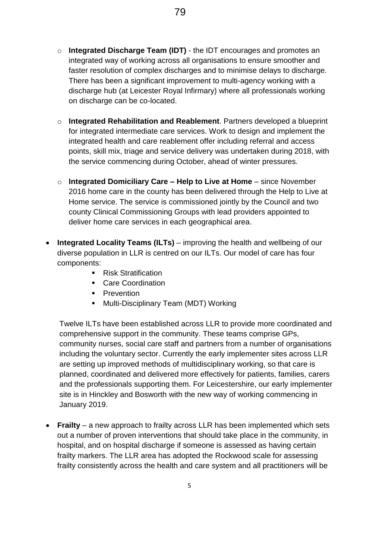- o **Integrated Discharge Team (IDT)**  the IDT encourages and promotes an integrated way of working across all organisations to ensure smoother and faster resolution of complex discharges and to minimise delays to discharge. There has been a significant improvement to multi-agency working with a discharge hub (at Leicester Royal Infirmary) where all professionals working on discharge can be co-located.
- o **Integrated Rehabilitation and Reablement**. Partners developed a blueprint for integrated intermediate care services. Work to design and implement the integrated health and care reablement offer including referral and access points, skill mix, triage and service delivery was undertaken during 2018, with the service commencing during October, ahead of winter pressures.
- o **Integrated Domiciliary Care – Help to Live at Home** since November 2016 home care in the county has been delivered through the Help to Live at Home service. The service is commissioned jointly by the Council and two county Clinical Commissioning Groups with lead providers appointed to deliver home care services in each geographical area.
- **Integrated Locality Teams (ILTs)** improving the health and wellbeing of our diverse population in LLR is centred on our ILTs. Our model of care has four components:
	- Risk Stratification
	- Care Coordination
	- **Prevention**
	- **Multi-Disciplinary Team (MDT) Working**

Twelve ILTs have been established across LLR to provide more coordinated and comprehensive support in the community. These teams comprise GPs, community nurses, social care staff and partners from a number of organisations including the voluntary sector. Currently the early implementer sites across LLR are setting up improved methods of multidisciplinary working, so that care is planned, coordinated and delivered more effectively for patients, families, carers and the professionals supporting them. For Leicestershire, our early implementer site is in Hinckley and Bosworth with the new way of working commencing in January 2019.

 **Frailty** – a new approach to frailty across LLR has been implemented which sets out a number of proven interventions that should take place in the community, in hospital, and on hospital discharge if someone is assessed as having certain frailty markers. The LLR area has adopted the Rockwood scale for assessing frailty consistently across the health and care system and all practitioners will be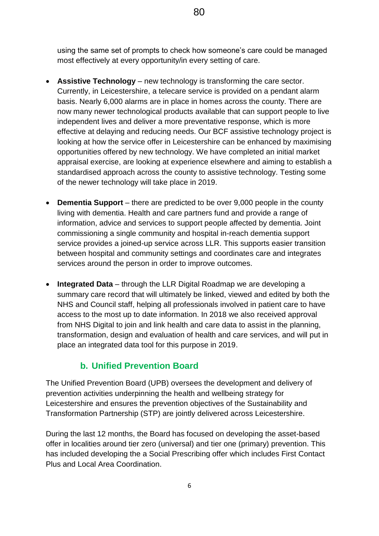using the same set of prompts to check how someone's care could be managed most effectively at every opportunity/in every setting of care.

- **Assistive Technology** new technology is transforming the care sector. Currently, in Leicestershire, a telecare service is provided on a pendant alarm basis. Nearly 6,000 alarms are in place in homes across the county. There are now many newer technological products available that can support people to live independent lives and deliver a more preventative response, which is more effective at delaying and reducing needs. Our BCF assistive technology project is looking at how the service offer in Leicestershire can be enhanced by maximising opportunities offered by new technology. We have completed an initial market appraisal exercise, are looking at experience elsewhere and aiming to establish a standardised approach across the county to assistive technology. Testing some of the newer technology will take place in 2019.
- **Dementia Support** there are predicted to be over 9,000 people in the county living with dementia. Health and care partners fund and provide a range of information, advice and services to support people affected by dementia. Joint commissioning a single community and hospital in-reach dementia support service provides a joined-up service across LLR. This supports easier transition between hospital and community settings and coordinates care and integrates services around the person in order to improve outcomes.
- **Integrated Data** through the LLR Digital Roadmap we are developing a summary care record that will ultimately be linked, viewed and edited by both the NHS and Council staff, helping all professionals involved in patient care to have access to the most up to date information. In 2018 we also received approval from NHS Digital to join and link health and care data to assist in the planning, transformation, design and evaluation of health and care services, and will put in place an integrated data tool for this purpose in 2019.

## **b. Unified Prevention Board**

The Unified Prevention Board (UPB) oversees the development and delivery of prevention activities underpinning the health and wellbeing strategy for Leicestershire and ensures the prevention objectives of the Sustainability and Transformation Partnership (STP) are jointly delivered across Leicestershire.

During the last 12 months, the Board has focused on developing the asset-based offer in localities around tier zero (universal) and tier one (primary) prevention. This has included developing the a Social Prescribing offer which includes First Contact Plus and Local Area Coordination.

80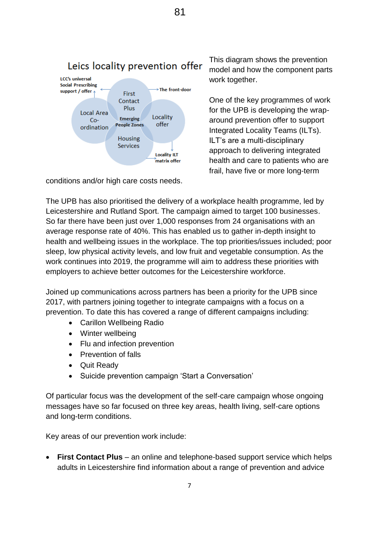

conditions and/or high care costs needs.

This diagram shows the prevention model and how the component parts work together.

One of the key programmes of work for the UPB is developing the wraparound prevention offer to support Integrated Locality Teams (ILTs). ILT's are a multi-disciplinary approach to delivering integrated health and care to patients who are frail, have five or more long-term

The UPB has also prioritised the delivery of a workplace health programme, led by Leicestershire and Rutland Sport. The campaign aimed to target 100 businesses. So far there have been just over 1,000 responses from 24 organisations with an average response rate of 40%. This has enabled us to gather in-depth insight to health and wellbeing issues in the workplace. The top priorities/issues included; poor sleep, low physical activity levels, and low fruit and vegetable consumption. As the work continues into 2019, the programme will aim to address these priorities with employers to achieve better outcomes for the Leicestershire workforce.

Joined up communications across partners has been a priority for the UPB since 2017, with partners joining together to integrate campaigns with a focus on a prevention. To date this has covered a range of different campaigns including:

- Carillon Wellbeing Radio
- Winter wellbeing
- Flu and infection prevention
- Prevention of falls
- Quit Ready
- Suicide prevention campaign 'Start a Conversation'

Of particular focus was the development of the self-care campaign whose ongoing messages have so far focused on three key areas, health living, self-care options and long-term conditions.

Key areas of our prevention work include:

 **First Contact Plus** – an online and telephone-based support service which helps adults in Leicestershire find information about a range of prevention and advice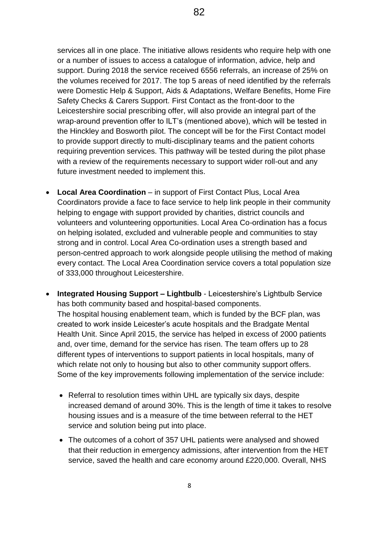services all in one place. The initiative allows residents who require help with one or a number of issues to access a catalogue of information, advice, help and support. During 2018 the service received 6556 referrals, an increase of 25% on the volumes received for 2017. The top 5 areas of need identified by the referrals were Domestic Help & Support, Aids & Adaptations, Welfare Benefits, Home Fire Safety Checks & Carers Support. First Contact as the front-door to the Leicestershire social prescribing offer, will also provide an integral part of the wrap-around prevention offer to ILT's (mentioned above), which will be tested in the Hinckley and Bosworth pilot. The concept will be for the First Contact model to provide support directly to multi-disciplinary teams and the patient cohorts requiring prevention services. This pathway will be tested during the pilot phase with a review of the requirements necessary to support wider roll-out and any future investment needed to implement this.

- **Local Area Coordination** in support of First Contact Plus, Local Area Coordinators provide a face to face service to help link people in their community helping to engage with support provided by charities, district councils and volunteers and volunteering opportunities. Local Area Co-ordination has a focus on helping isolated, excluded and vulnerable people and communities to stay strong and in control. Local Area Co-ordination uses a strength based and person-centred approach to work alongside people utilising the method of making every contact. The Local Area Coordination service covers a total population size of 333,000 throughout Leicestershire.
- **Integrated Housing Support – Lightbulb** Leicestershire's Lightbulb Service has both community based and hospital-based components. The hospital housing enablement team, which is funded by the BCF plan, was created to work inside Leicester's acute hospitals and the Bradgate Mental Health Unit. Since April 2015, the service has helped in excess of 2000 patients and, over time, demand for the service has risen. The team offers up to 28 different types of interventions to support patients in local hospitals, many of which relate not only to housing but also to other community support offers. Some of the key improvements following implementation of the service include:
	- Referral to resolution times within UHL are typically six days, despite increased demand of around 30%. This is the length of time it takes to resolve housing issues and is a measure of the time between referral to the HET service and solution being put into place.
	- The outcomes of a cohort of 357 UHL patients were analysed and showed that their reduction in emergency admissions, after intervention from the HET service, saved the health and care economy around £220,000. Overall, NHS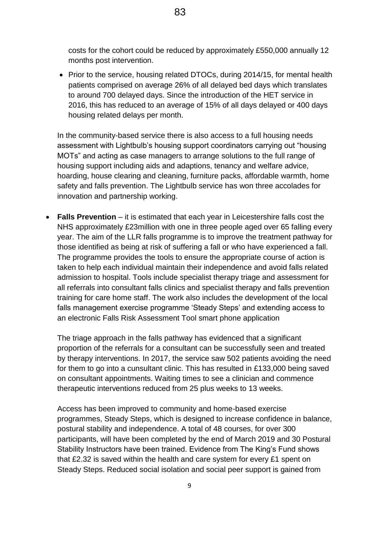costs for the cohort could be reduced by approximately £550,000 annually 12 months post intervention.

• Prior to the service, housing related DTOCs, during 2014/15, for mental health patients comprised on average 26% of all delayed bed days which translates to around 700 delayed days. Since the introduction of the HET service in 2016, this has reduced to an average of 15% of all days delayed or 400 days housing related delays per month.

In the community-based service there is also access to a full housing needs assessment with Lightbulb's housing support coordinators carrying out "housing MOTs" and acting as case managers to arrange solutions to the full range of housing support including aids and adaptions, tenancy and welfare advice, hoarding, house clearing and cleaning, furniture packs, affordable warmth, home safety and falls prevention. The Lightbulb service has won three accolades for innovation and partnership working.

 **Falls Prevention** – it is estimated that each year in Leicestershire falls cost the NHS approximately £23million with one in three people aged over 65 falling every year. The aim of the LLR falls programme is to improve the treatment pathway for those identified as being at risk of suffering a fall or who have experienced a fall. The programme provides the tools to ensure the appropriate course of action is taken to help each individual maintain their independence and avoid falls related admission to hospital. Tools include specialist therapy triage and assessment for all referrals into consultant falls clinics and specialist therapy and falls prevention training for care home staff. The work also includes the development of the local falls management exercise programme 'Steady Steps' and extending access to an electronic Falls Risk Assessment Tool smart phone application

The triage approach in the falls pathway has evidenced that a significant proportion of the referrals for a consultant can be successfully seen and treated by therapy interventions. In 2017, the service saw 502 patients avoiding the need for them to go into a cunsultant clinic. This has resulted in £133,000 being saved on consultant appointments. Waiting times to see a clinician and commence therapeutic interventions reduced from 25 plus weeks to 13 weeks.

Access has been improved to community and home-based exercise programmes, Steady Steps, which is designed to increase confidence in balance, postural stability and independence. A total of 48 courses, for over 300 participants, will have been completed by the end of March 2019 and 30 Postural Stability Instructors have been trained. Evidence from The King's Fund shows that £2.32 is saved within the health and care system for every £1 spent on Steady Steps. Reduced social isolation and social peer support is gained from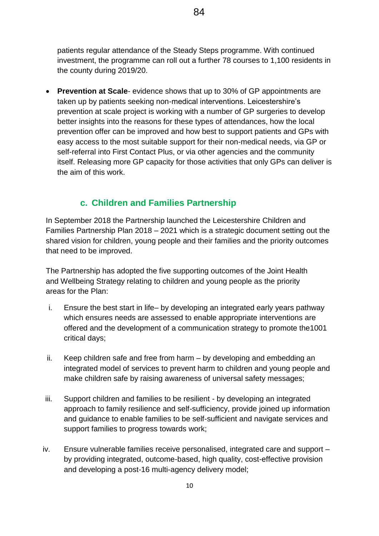patients regular attendance of the Steady Steps programme. With continued investment, the programme can roll out a further 78 courses to 1,100 residents in the county during 2019/20.

 **Prevention at Scale**- evidence shows that up to 30% of GP appointments are taken up by patients seeking non-medical interventions. Leicestershire's prevention at scale project is working with a number of GP surgeries to develop better insights into the reasons for these types of attendances, how the local prevention offer can be improved and how best to support patients and GPs with easy access to the most suitable support for their non-medical needs, via GP or self-referral into First Contact Plus, or via other agencies and the community itself. Releasing more GP capacity for those activities that only GPs can deliver is the aim of this work.

#### **c. Children and Families Partnership**

In September 2018 the Partnership launched the Leicestershire Children and Families Partnership Plan 2018 – 2021 which is a strategic document setting out the shared vision for children, young people and their families and the priority outcomes that need to be improved.

The Partnership has adopted the five supporting outcomes of the Joint Health and Wellbeing Strategy relating to children and young people as the priority areas for the Plan:

- i. Ensure the best start in life– by developing an integrated early years pathway which ensures needs are assessed to enable appropriate interventions are offered and the development of a communication strategy to promote the1001 critical days;
- ii. Keep children safe and free from harm by developing and embedding an integrated model of services to prevent harm to children and young people and make children safe by raising awareness of universal safety messages;
- iii. Support children and families to be resilient by developing an integrated approach to family resilience and self-sufficiency, provide joined up information and guidance to enable families to be self-sufficient and navigate services and support families to progress towards work;
- iv. Ensure vulnerable families receive personalised, integrated care and support by providing integrated, outcome-based, high quality, cost-effective provision and developing a post-16 multi-agency delivery model;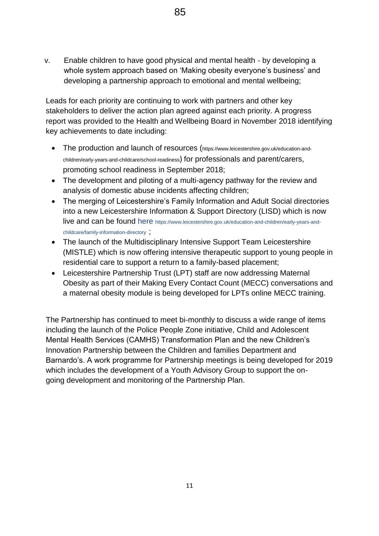v. Enable children to have good physical and mental health - by developing a whole system approach based on 'Making obesity everyone's business' and developing a partnership approach to emotional and mental wellbeing;

Leads for each priority are continuing to work with partners and other key stakeholders to deliver the action plan agreed against each priority. A progress report was provided to the Health and Wellbeing Board in November 2018 identifying key achievements to date including:

- The production and launch of resources (https://www.leicestershire.gov.uk/education-andchildren/early-years-and-childcare/school-readiness) for professionals and parent/carers, promoting school readiness in September 2018;
- The development and piloting of a multi-agency pathway for the review and analysis of domestic abuse incidents affecting children;
- The merging of Leicestershire's Family Information and Adult Social directories into a new Leicestershire Information & Support Directory (LISD) which is now live and can be found here https://www.leicestershire.gov.uk/education-and-children/early-years-andchildcare/family-information-directory ;
- The launch of the Multidisciplinary Intensive Support Team Leicestershire (MISTLE) which is now offering intensive therapeutic support to young people in residential care to support a return to a family-based placement;
- Leicestershire Partnership Trust (LPT) staff are now addressing Maternal Obesity as part of their Making Every Contact Count (MECC) conversations and a maternal obesity module is being developed for LPTs online MECC training.

The Partnership has continued to meet bi-monthly to discuss a wide range of items including the launch of the Police People Zone initiative, Child and Adolescent Mental Health Services (CAMHS) Transformation Plan and the new Children's Innovation Partnership between the Children and families Department and Barnardo's. A work programme for Partnership meetings is being developed for 2019 which includes the development of a Youth Advisory Group to support the ongoing development and monitoring of the Partnership Plan.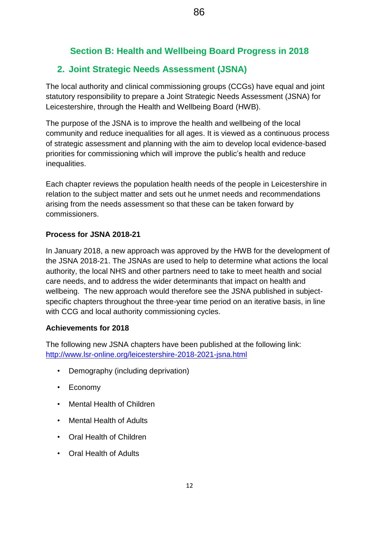# **Section B: Health and Wellbeing Board Progress in 2018**

## **2. Joint Strategic Needs Assessment (JSNA)**

The local authority and clinical commissioning groups (CCGs) have equal and joint statutory responsibility to prepare a Joint Strategic Needs Assessment (JSNA) for Leicestershire, through the Health and Wellbeing Board (HWB).

The purpose of the JSNA is to improve the health and wellbeing of the local community and reduce inequalities for all ages. It is viewed as a continuous process of strategic assessment and planning with the aim to develop local evidence-based priorities for commissioning which will improve the public's health and reduce inequalities.

Each chapter reviews the population health needs of the people in Leicestershire in relation to the subject matter and sets out he unmet needs and recommendations arising from the needs assessment so that these can be taken forward by commissioners.

#### **Process for JSNA 2018-21**

In January 2018, a new approach was approved by the HWB for the development of the JSNA 2018-21. The JSNAs are used to help to determine what actions the local authority, the local NHS and other partners need to take to meet health and social care needs, and to address the wider determinants that impact on health and wellbeing. The new approach would therefore see the JSNA published in subjectspecific chapters throughout the three-year time period on an iterative basis, in line with CCG and local authority commissioning cycles.

#### **Achievements for 2018**

The following new JSNA chapters have been published at the following link: <http://www.lsr-online.org/leicestershire-2018-2021-jsna.html>

- Demography (including deprivation)
- Economy
- Mental Health of Children
- Mental Health of Adults
- Oral Health of Children
- Oral Health of Adults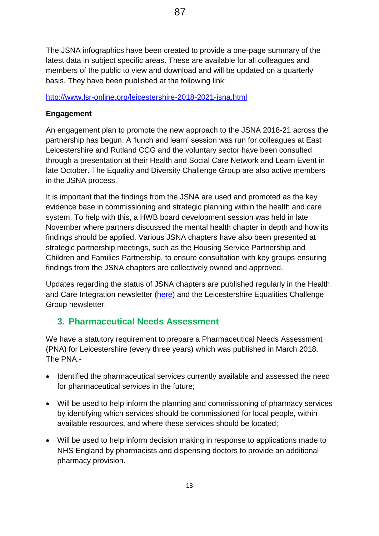The JSNA infographics have been created to provide a one-page summary of the latest data in subject specific areas. These are available for all colleagues and members of the public to view and download and will be updated on a quarterly basis. They have been published at the following link:

#### <http://www.lsr-online.org/leicestershire-2018-2021-jsna.html>

### **Engagement**

An engagement plan to promote the new approach to the JSNA 2018-21 across the partnership has begun. A 'lunch and learn' session was run for colleagues at East Leicestershire and Rutland CCG and the voluntary sector have been consulted through a presentation at their Health and Social Care Network and Learn Event in late October. The Equality and Diversity Challenge Group are also active members in the JSNA process.

It is important that the findings from the JSNA are used and promoted as the key evidence base in commissioning and strategic planning within the health and care system. To help with this, a HWB board development session was held in late November where partners discussed the mental health chapter in depth and how its findings should be applied. Various JSNA chapters have also been presented at strategic partnership meetings, such as the Housing Service Partnership and Children and Families Partnership, to ensure consultation with key groups ensuring findings from the JSNA chapters are collectively owned and approved.

Updates regarding the status of JSNA chapters are published regularly in the Health and Care Integration newsletter [\(here\)](http://www.healthandcareleicestershire.co.uk/resources/health-and-care-integration-newsletters/) and the Leicestershire Equalities Challenge Group newsletter.

# **3. Pharmaceutical Needs Assessment**

We have a statutory requirement to prepare a Pharmaceutical Needs Assessment (PNA) for Leicestershire (every three years) which was published in March 2018. The PNA:-

- Identified the pharmaceutical services currently available and assessed the need for pharmaceutical services in the future;
- Will be used to help inform the planning and commissioning of pharmacy services by identifying which services should be commissioned for local people, within available resources, and where these services should be located;
- Will be used to help inform decision making in response to applications made to NHS England by pharmacists and dispensing doctors to provide an additional pharmacy provision.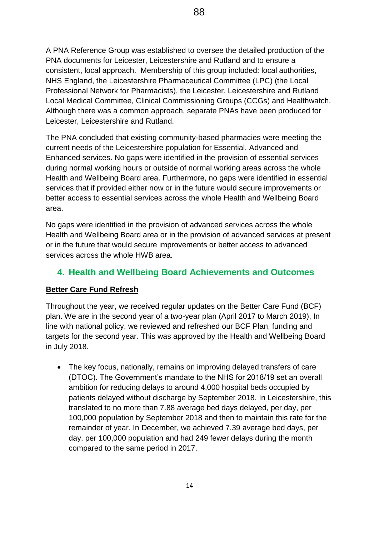A PNA Reference Group was established to oversee the detailed production of the PNA documents for Leicester, Leicestershire and Rutland and to ensure a consistent, local approach. Membership of this group included: local authorities, NHS England, the Leicestershire Pharmaceutical Committee (LPC) (the Local Professional Network for Pharmacists), the Leicester, Leicestershire and Rutland Local Medical Committee, Clinical Commissioning Groups (CCGs) and Healthwatch. Although there was a common approach, separate PNAs have been produced for Leicester, Leicestershire and Rutland.

The PNA concluded that existing community-based pharmacies were meeting the current needs of the Leicestershire population for Essential, Advanced and Enhanced services. No gaps were identified in the provision of essential services during normal working hours or outside of normal working areas across the whole Health and Wellbeing Board area. Furthermore, no gaps were identified in essential services that if provided either now or in the future would secure improvements or better access to essential services across the whole Health and Wellbeing Board area.

No gaps were identified in the provision of advanced services across the whole Health and Wellbeing Board area or in the provision of advanced services at present or in the future that would secure improvements or better access to advanced services across the whole HWB area.

## **4. Health and Wellbeing Board Achievements and Outcomes**

#### **Better Care Fund Refresh**

Throughout the year, we received regular updates on the Better Care Fund (BCF) plan. We are in the second year of a two-year plan (April 2017 to March 2019), In line with national policy, we reviewed and refreshed our BCF Plan, funding and targets for the second year. This was approved by the Health and Wellbeing Board in July 2018.

 The key focus, nationally, remains on improving delayed transfers of care (DTOC). The Government's mandate to the NHS for 2018/19 set an overall ambition for reducing delays to around 4,000 hospital beds occupied by patients delayed without discharge by September 2018. In Leicestershire, this translated to no more than 7.88 average bed days delayed, per day, per 100,000 population by September 2018 and then to maintain this rate for the remainder of year. In December, we achieved 7.39 average bed days, per day, per 100,000 population and had 249 fewer delays during the month compared to the same period in 2017.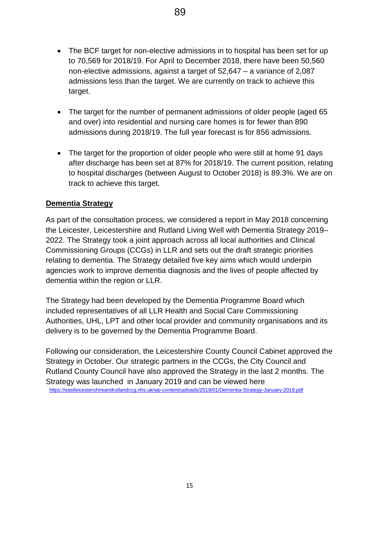- The BCF target for non-elective admissions in to hospital has been set for up to 70,569 for 2018/19. For April to December 2018, there have been 50,560 non-elective admissions, against a target of 52,647 – a variance of 2,087 admissions less than the target. We are currently on track to achieve this target.
- The target for the number of permanent admissions of older people (aged 65 and over) into residential and nursing care homes is for fewer than 890 admissions during 2018/19. The full year forecast is for 856 admissions.
- The target for the proportion of older people who were still at home 91 days after discharge has been set at 87% for 2018/19. The current position, relating to hospital discharges (between August to October 2018) is 89.3%. We are on track to achieve this target.

#### **Dementia Strategy**

As part of the consultation process, we considered a report in May 2018 concerning the Leicester, Leicestershire and Rutland Living Well with Dementia Strategy 2019– 2022. The Strategy took a joint approach across all local authorities and Clinical Commissioning Groups (CCGs) in LLR and sets out the draft strategic priorities relating to dementia. The Strategy detailed five key aims which would underpin agencies work to improve dementia diagnosis and the lives of people affected by dementia within the region or LLR.

The Strategy had been developed by the Dementia Programme Board which included representatives of all LLR Health and Social Care Commissioning Authorities, UHL, LPT and other local provider and community organisations and its delivery is to be governed by the Dementia Programme Board.

Following our consideration, the Leicestershire County Council Cabinet approved the Strategy in October. Our strategic partners in the CCGs, the City Council and Rutland County Council have also approved the Strategy in the last 2 months. The Strategy was launched in January 2019 and can be viewed here <https://eastleicestershireandrutlandccg.nhs.uk/wp-content/uploads/2019/01/Dementia-Strategy-January-2019.pdf>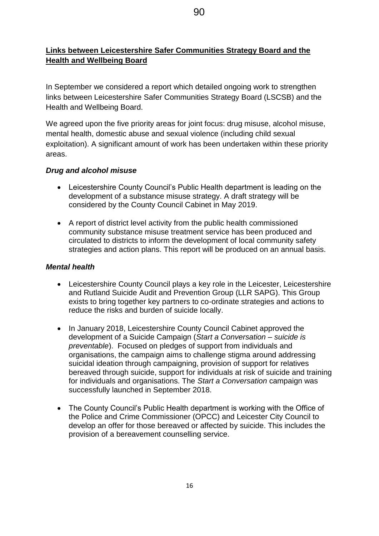## **Links between Leicestershire Safer Communities Strategy Board and the Health and Wellbeing Board**

In September we considered a report which detailed ongoing work to strengthen links between Leicestershire Safer Communities Strategy Board (LSCSB) and the Health and Wellbeing Board.

We agreed upon the five priority areas for joint focus: drug misuse, alcohol misuse, mental health, domestic abuse and sexual violence (including child sexual exploitation). A significant amount of work has been undertaken within these priority areas.

#### *Drug and alcohol misuse*

- Leicestershire County Council's Public Health department is leading on the development of a substance misuse strategy. A draft strategy will be considered by the County Council Cabinet in May 2019.
- A report of district level activity from the public health commissioned community substance misuse treatment service has been produced and circulated to districts to inform the development of local community safety strategies and action plans. This report will be produced on an annual basis.

#### *Mental health*

- Leicestershire County Council plays a key role in the Leicester, Leicestershire and Rutland Suicide Audit and Prevention Group (LLR SAPG). This Group exists to bring together key partners to co-ordinate strategies and actions to reduce the risks and burden of suicide locally.
- In January 2018, Leicestershire County Council Cabinet approved the development of a Suicide Campaign (*Start a Conversation – suicide is preventable*). Focused on pledges of support from individuals and organisations, the campaign aims to challenge stigma around addressing suicidal ideation through campaigning, provision of support for relatives bereaved through suicide, support for individuals at risk of suicide and training for individuals and organisations. The *Start a Conversation* campaign was successfully launched in September 2018.
- The County Council's Public Health department is working with the Office of the Police and Crime Commissioner (OPCC) and Leicester City Council to develop an offer for those bereaved or affected by suicide. This includes the provision of a bereavement counselling service.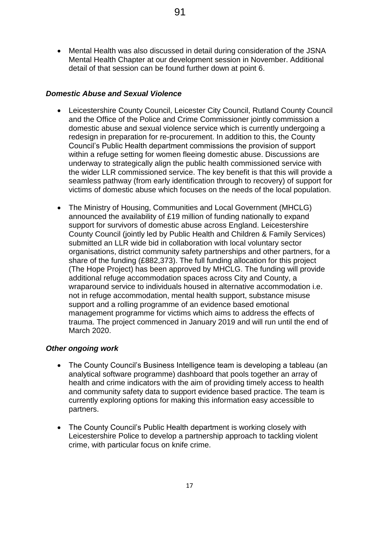Mental Health was also discussed in detail during consideration of the JSNA Mental Health Chapter at our development session in November. Additional detail of that session can be found further down at point 6.

#### *Domestic Abuse and Sexual Violence*

- Leicestershire County Council, Leicester City Council, Rutland County Council and the Office of the Police and Crime Commissioner jointly commission a domestic abuse and sexual violence service which is currently undergoing a redesign in preparation for re-procurement. In addition to this, the County Council's Public Health department commissions the provision of support within a refuge setting for women fleeing domestic abuse. Discussions are underway to strategically align the public health commissioned service with the wider LLR commissioned service. The key benefit is that this will provide a seamless pathway (from early identification through to recovery) of support for victims of domestic abuse which focuses on the needs of the local population.
- The Ministry of Housing, Communities and Local Government (MHCLG) announced the availability of £19 million of funding nationally to expand support for survivors of domestic abuse across England. Leicestershire County Council (jointly led by Public Health and Children & Family Services) submitted an LLR wide bid in collaboration with local voluntary sector organisations, district community safety partnerships and other partners, for a share of the funding (£882,373). The full funding allocation for this project (The Hope Project) has been approved by MHCLG. The funding will provide additional refuge accommodation spaces across City and County, a wraparound service to individuals housed in alternative accommodation i.e. not in refuge accommodation, mental health support, substance misuse support and a rolling programme of an evidence based emotional management programme for victims which aims to address the effects of trauma. The project commenced in January 2019 and will run until the end of March 2020.

#### *Other ongoing work*

- The County Council's Business Intelligence team is developing a tableau (an analytical software programme) dashboard that pools together an array of health and crime indicators with the aim of providing timely access to health and community safety data to support evidence based practice. The team is currently exploring options for making this information easy accessible to partners.
- The County Council's Public Health department is working closely with Leicestershire Police to develop a partnership approach to tackling violent crime, with particular focus on knife crime.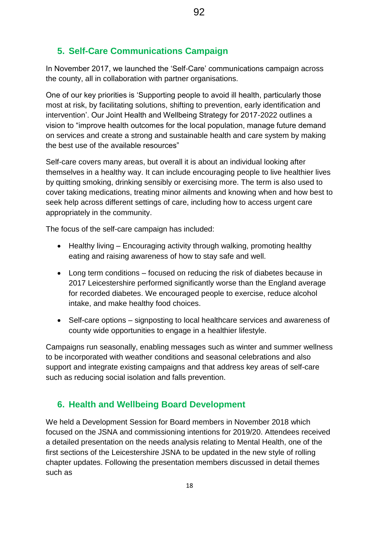#### **5. Self-Care Communications Campaign**

In November 2017, we launched the 'Self-Care' communications campaign across the county, all in collaboration with partner organisations.

92

One of our key priorities is 'Supporting people to avoid ill health, particularly those most at risk, by facilitating solutions, shifting to prevention, early identification and intervention'. Our Joint Health and Wellbeing Strategy for 2017-2022 outlines a vision to "improve health outcomes for the local population, manage future demand on services and create a strong and sustainable health and care system by making the best use of the available resources"

Self-care covers many areas, but overall it is about an individual looking after themselves in a healthy way. It can include encouraging people to live healthier lives by quitting smoking, drinking sensibly or exercising more. The term is also used to cover taking medications, treating minor ailments and knowing when and how best to seek help across different settings of care, including how to access urgent care appropriately in the community.

The focus of the self-care campaign has included:

- Healthy living Encouraging activity through walking, promoting healthy eating and raising awareness of how to stay safe and well.
- Long term conditions focused on reducing the risk of diabetes because in 2017 Leicestershire performed significantly worse than the England average for recorded diabetes. We encouraged people to exercise, reduce alcohol intake, and make healthy food choices.
- Self-care options signposting to local healthcare services and awareness of county wide opportunities to engage in a healthier lifestyle.

Campaigns run seasonally, enabling messages such as winter and summer wellness to be incorporated with weather conditions and seasonal celebrations and also support and integrate existing campaigns and that address key areas of self-care such as reducing social isolation and falls prevention.

#### **6. Health and Wellbeing Board Development**

We held a Development Session for Board members in November 2018 which focused on the JSNA and commissioning intentions for 2019/20. Attendees received a detailed presentation on the needs analysis relating to Mental Health, one of the first sections of the Leicestershire JSNA to be updated in the new style of rolling chapter updates. Following the presentation members discussed in detail themes such as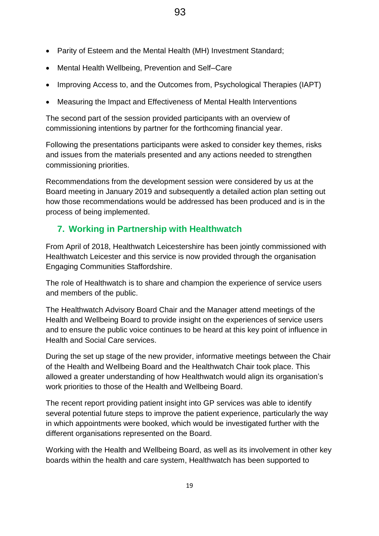- Parity of Esteem and the Mental Health (MH) Investment Standard;
- Mental Health Wellbeing, Prevention and Self–Care
- Improving Access to, and the Outcomes from, Psychological Therapies (IAPT)
- Measuring the Impact and Effectiveness of Mental Health Interventions

The second part of the session provided participants with an overview of commissioning intentions by partner for the forthcoming financial year.

Following the presentations participants were asked to consider key themes, risks and issues from the materials presented and any actions needed to strengthen commissioning priorities.

Recommendations from the development session were considered by us at the Board meeting in January 2019 and subsequently a detailed action plan setting out how those recommendations would be addressed has been produced and is in the process of being implemented.

# **7. Working in Partnership with Healthwatch**

From April of 2018, Healthwatch Leicestershire has been jointly commissioned with Healthwatch Leicester and this service is now provided through the organisation Engaging Communities Staffordshire.

The role of Healthwatch is to share and champion the experience of service users and members of the public.

The Healthwatch Advisory Board Chair and the Manager attend meetings of the Health and Wellbeing Board to provide insight on the experiences of service users and to ensure the public voice continues to be heard at this key point of influence in Health and Social Care services.

During the set up stage of the new provider, informative meetings between the Chair of the Health and Wellbeing Board and the Healthwatch Chair took place. This allowed a greater understanding of how Healthwatch would align its organisation's work priorities to those of the Health and Wellbeing Board.

The recent report providing patient insight into GP services was able to identify several potential future steps to improve the patient experience, particularly the way in which appointments were booked, which would be investigated further with the different organisations represented on the Board.

Working with the Health and Wellbeing Board, as well as its involvement in other key boards within the health and care system, Healthwatch has been supported to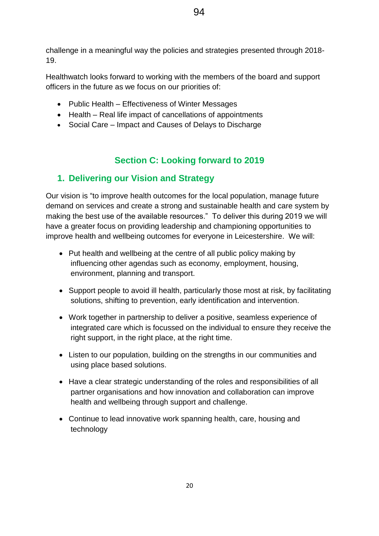94

19.

challenge in a meaningful way the policies and strategies presented through 2018-

Healthwatch looks forward to working with the members of the board and support officers in the future as we focus on our priorities of:

- Public Health Effectiveness of Winter Messages
- Health Real life impact of cancellations of appointments
- Social Care Impact and Causes of Delays to Discharge

# **Section C: Looking forward to 2019**

# **1. Delivering our Vision and Strategy**

Our vision is "to improve health outcomes for the local population, manage future demand on services and create a strong and sustainable health and care system by making the best use of the available resources." To deliver this during 2019 we will have a greater focus on providing leadership and championing opportunities to improve health and wellbeing outcomes for everyone in Leicestershire. We will:

- Put health and wellbeing at the centre of all public policy making by influencing other agendas such as economy, employment, housing, environment, planning and transport.
- Support people to avoid ill health, particularly those most at risk, by facilitating solutions, shifting to prevention, early identification and intervention.
- Work together in partnership to deliver a positive, seamless experience of integrated care which is focussed on the individual to ensure they receive the right support, in the right place, at the right time.
- Listen to our population, building on the strengths in our communities and using place based solutions.
- Have a clear strategic understanding of the roles and responsibilities of all partner organisations and how innovation and collaboration can improve health and wellbeing through support and challenge.
- Continue to lead innovative work spanning health, care, housing and technology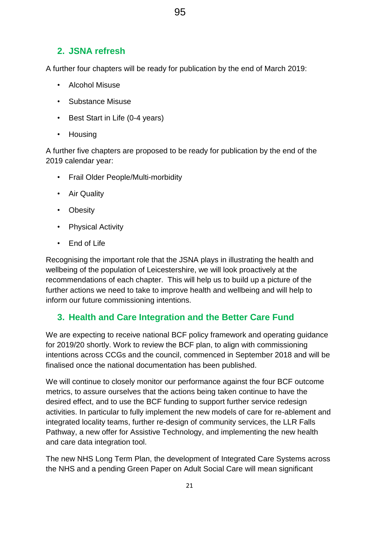95

# **2. JSNA refresh**

A further four chapters will be ready for publication by the end of March 2019:

- Alcohol Misuse
- Substance Misuse
- Best Start in Life (0-4 years)
- Housing

A further five chapters are proposed to be ready for publication by the end of the 2019 calendar year:

- Frail Older People/Multi-morbidity
- Air Quality
- Obesity
- Physical Activity
- End of Life

Recognising the important role that the JSNA plays in illustrating the health and wellbeing of the population of Leicestershire, we will look proactively at the recommendations of each chapter. This will help us to build up a picture of the further actions we need to take to improve health and wellbeing and will help to inform our future commissioning intentions.

# **3. Health and Care Integration and the Better Care Fund**

We are expecting to receive national BCF policy framework and operating guidance for 2019/20 shortly. Work to review the BCF plan, to align with commissioning intentions across CCGs and the council, commenced in September 2018 and will be finalised once the national documentation has been published.

We will continue to closely monitor our performance against the four BCF outcome metrics, to assure ourselves that the actions being taken continue to have the desired effect, and to use the BCF funding to support further service redesign activities. In particular to fully implement the new models of care for re-ablement and integrated locality teams, further re-design of community services, the LLR Falls Pathway, a new offer for Assistive Technology, and implementing the new health and care data integration tool.

The new NHS Long Term Plan, the development of Integrated Care Systems across the NHS and a pending Green Paper on Adult Social Care will mean significant